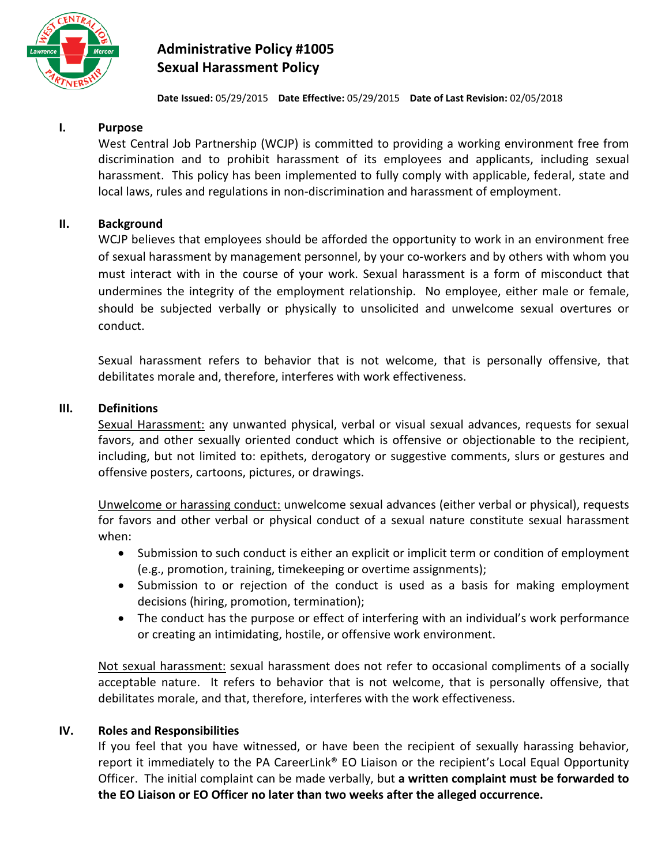

# **Administrative Policy #1005 Sexual Harassment Policy**

**Date Issued:** 05/29/2015 **Date Effective:** 05/29/2015 **Date of Last Revision:** 02/05/2018

## **I. Purpose**

West Central Job Partnership (WCJP) is committed to providing a working environment free from discrimination and to prohibit harassment of its employees and applicants, including sexual harassment. This policy has been implemented to fully comply with applicable, federal, state and local laws, rules and regulations in non-discrimination and harassment of employment.

### **II. Background**

WCJP believes that employees should be afforded the opportunity to work in an environment free of sexual harassment by management personnel, by your co-workers and by others with whom you must interact with in the course of your work. Sexual harassment is a form of misconduct that undermines the integrity of the employment relationship. No employee, either male or female, should be subjected verbally or physically to unsolicited and unwelcome sexual overtures or conduct.

Sexual harassment refers to behavior that is not welcome, that is personally offensive, that debilitates morale and, therefore, interferes with work effectiveness.

#### **III. Definitions**

Sexual Harassment: any unwanted physical, verbal or visual sexual advances, requests for sexual favors, and other sexually oriented conduct which is offensive or objectionable to the recipient, including, but not limited to: epithets, derogatory or suggestive comments, slurs or gestures and offensive posters, cartoons, pictures, or drawings.

Unwelcome or harassing conduct: unwelcome sexual advances (either verbal or physical), requests for favors and other verbal or physical conduct of a sexual nature constitute sexual harassment when:

- Submission to such conduct is either an explicit or implicit term or condition of employment (e.g., promotion, training, timekeeping or overtime assignments);
- Submission to or rejection of the conduct is used as a basis for making employment decisions (hiring, promotion, termination);
- The conduct has the purpose or effect of interfering with an individual's work performance or creating an intimidating, hostile, or offensive work environment.

Not sexual harassment: sexual harassment does not refer to occasional compliments of a socially acceptable nature. It refers to behavior that is not welcome, that is personally offensive, that debilitates morale, and that, therefore, interferes with the work effectiveness.

# **IV. Roles and Responsibilities**

If you feel that you have witnessed, or have been the recipient of sexually harassing behavior, report it immediately to the PA CareerLink® EO Liaison or the recipient's Local Equal Opportunity Officer. The initial complaint can be made verbally, but **a written complaint must be forwarded to the EO Liaison or EO Officer no later than two weeks after the alleged occurrence.**